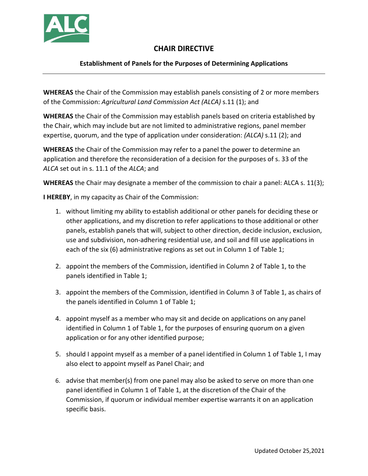

## **CHAIR DIRECTIVE**

## **Establishment of Panels for the Purposes of Determining Applications**

**WHEREAS** the Chair of the Commission may establish panels consisting of 2 or more members of the Commission: *Agricultural Land Commission Act (ALCA)* s.11 (1); and

**WHEREAS** the Chair of the Commission may establish panels based on criteria established by the Chair, which may include but are not limited to administrative regions, panel member expertise, quorum, and the type of application under consideration: *(ALCA)* s.11 (2); and

**WHEREAS** the Chair of the Commission may refer to a panel the power to determine an application and therefore the reconsideration of a decision for the purposes of s. 33 of the *ALCA* set out in s. 11.1 of the *ALCA*; and

**WHEREAS** the Chair may designate a member of the commission to chair a panel: ALCA s. 11(3);

**I HEREBY**, in my capacity as Chair of the Commission:

- 1. without limiting my ability to establish additional or other panels for deciding these or other applications, and my discretion to refer applications to those additional or other panels, establish panels that will, subject to other direction, decide inclusion, exclusion, use and subdivision, non-adhering residential use, and soil and fill use applications in each of the six (6) administrative regions as set out in Column 1 of Table 1;
- 2. appoint the members of the Commission, identified in Column 2 of Table 1, to the panels identified in Table 1;
- 3. appoint the members of the Commission, identified in Column 3 of Table 1, as chairs of the panels identified in Column 1 of Table 1;
- 4. appoint myself as a member who may sit and decide on applications on any panel identified in Column 1 of Table 1, for the purposes of ensuring quorum on a given application or for any other identified purpose;
- 5. should I appoint myself as a member of a panel identified in Column 1 of Table 1, I may also elect to appoint myself as Panel Chair; and
- 6. advise that member(s) from one panel may also be asked to serve on more than one panel identified in Column 1 of Table 1, at the discretion of the Chair of the Commission, if quorum or individual member expertise warrants it on an application specific basis.